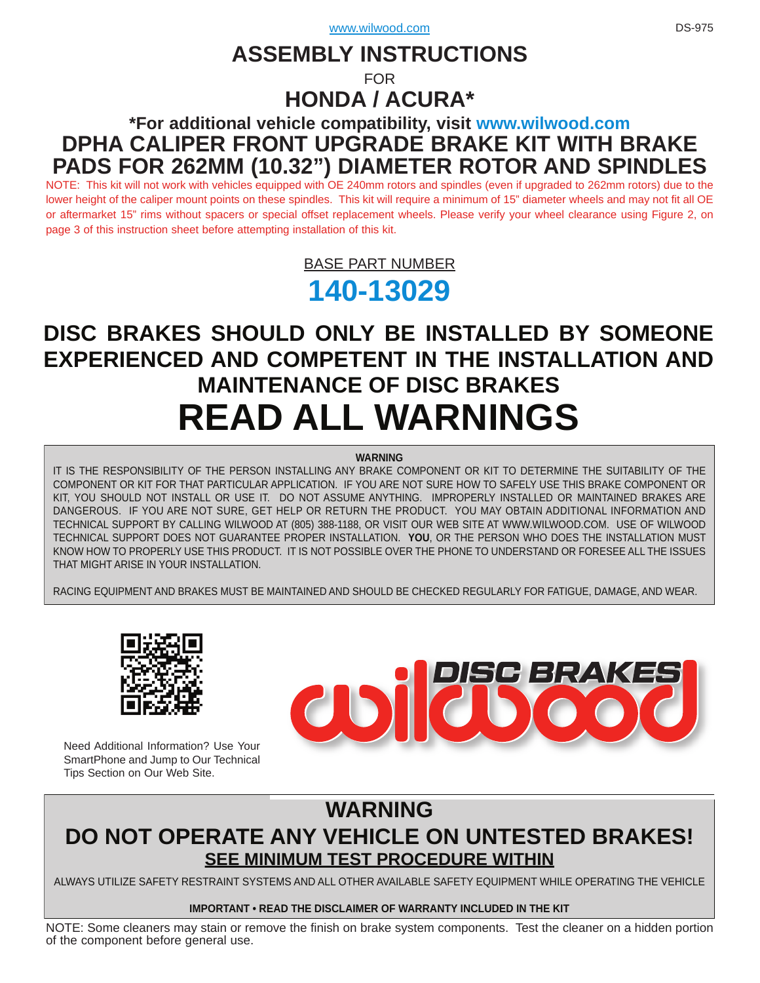# **ASSEMBLY INSTRUCTIONS**

FOR

# **HONDA / ACURA\***

# **\*For additional vehicle compatibility, visit<www.wilwood.com> DPHA CALIPER FRONT UPGRADE BRAKE KIT WITH BRAKE [PADS FOR 262MM \(10.32"\) DIAMETER ROTOR AND SPINDLES](www.wilwood.com)**

NOTE: This kit will not work with vehicles equipped with OE 240mm rotors and spindles (even if upgraded to 262mm rotors) due to the lower height of the caliper mount points on these spindles. This kit will require a minimum of 15" diameter wheels and may not fit all OE or aftermarket 15" rims without spacers or special offset replacement wheels. Please verify your wheel clearance using Figure 2, on page 3 of this instruction sheet before attempting installation of this kit.

> BASE PART NUMBER **[140-13029](http://www.wilwood.com/Search/PartNoSearch.aspx?itemno=140-13029&itempdf=13029)**

# **DISC BRAKES SHOULD ONLY BE INSTALLED BY SOMEONE [EXPERIENCED AND COMPETENT IN THE INSTALLATION AND](www.wilwood.com)  MAINTENANCE OF DISC BRAKES READ ALL WARNINGS**

#### **WARNING**

IT IS THE RESPONSIBILITY OF THE PERSON INSTALLING ANY BRAKE COMPONENT OR KIT TO DETERMINE THE SUITABILITY OF THE COMPONENT OR KIT FOR THAT PARTICULAR APPLICATION. IF YOU ARE NOT SURE HOW TO SAFELY USE THIS BRAKE COMPONENT OR KIT, YOU SHOULD NOT INSTALL OR USE IT. DO NOT ASSUME ANYTHING. IMPROPERLY INSTALLED OR MAINTAINED BRAKES ARE [DANGEROUS. IF YOU ARE NOT SURE, GET HELP OR RETURN THE PRODUCT. YOU MAY OBTAIN ADDITIONAL INFORMATION AND](www.wilwood.com)  TECHNICAL SUPPORT BY CALLING WILWOOD AT (805) 388-1188, OR VISIT OUR WEB SITE AT WWW.WILWOOD.COM. USE OF WILWOOD TECHNICAL SUPPORT DOES NOT GUARANTEE PROPER INSTALLATION. **YOU**, OR THE PERSON WHO DOES THE INSTALLATION MUST KNOW HOW TO PROPERLY USE THIS PRODUCT. IT IS NOT POSSIBLE OVER THE PHONE TO UNDERSTAND OR FORESEE ALL THE ISSUES THAT MIGHT ARISE IN YOUR INSTALLATION.

RACING EQUIPMENT AND BRAKES MUST BE MAINTAINED AND SHOULD BE CHECKED REGULARLY FOR FATIGUE, DAMAGE, AND WEAR.



Need Additional Information? Use Your SmartPhone and Jump to Our Technical Tips Section on Our Web Site.



# **WARNING [DO NOT OPERATE ANY VEHICLE ON UNTESTED BRAKES!](www.wilwood.com) SEE MINIMUM TEST PROCEDURE WITHIN**

ALWAYS UTILIZE SAFETY RESTRAINT SYSTEMS AND ALL OTHER AVAILABLE SAFETY EQUIPMENT WHILE OPERATING THE VEHICLE

#### **IMPORTANT • READ THE DISCLAIMER OF WARRANTY INCLUDED IN THE KIT**

[NOTE: Some cleaners may stain or remove the finish on brake system components. Test the cleaner on a hidden portion](www.wilwood.com) of the component before general use.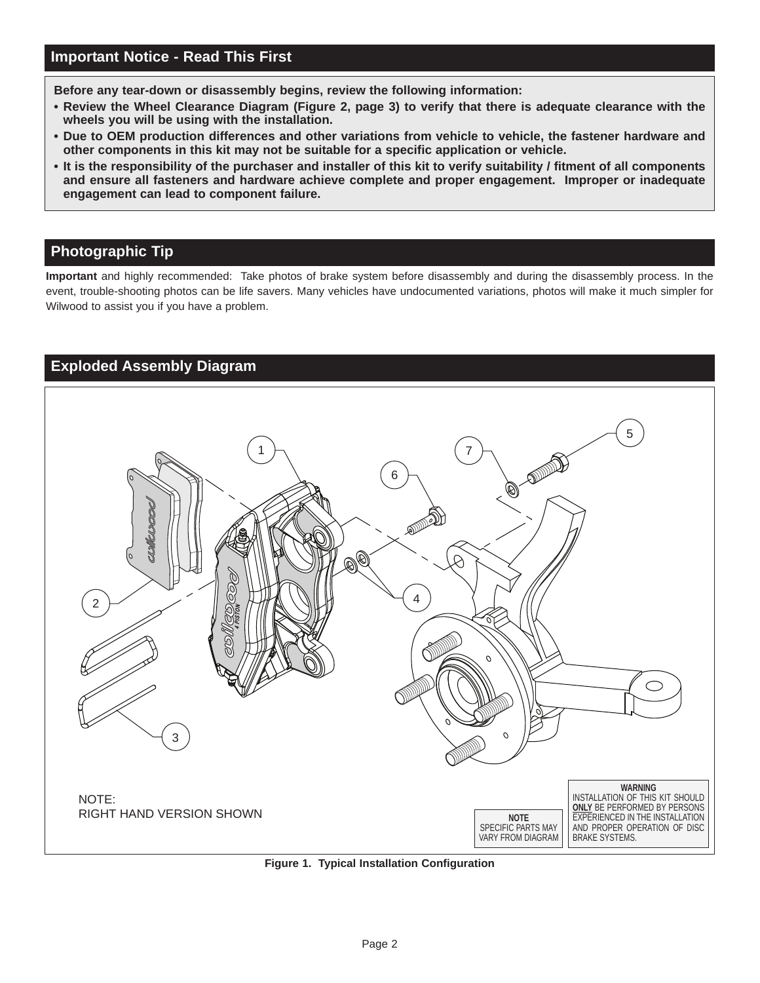**Before any tear-down or disassembly begins, review the following information:**

- **Review the Wheel Clearance Diagram (Figure 2, page 3) to verify that there is adequate clearance with the wheels you will be using with the installation.**
- **Due to OEM production differences and other variations from vehicle to vehicle, the fastener hardware and other components in this kit may not be suitable for a specific application or vehicle.**
- **[It is the responsibility of the purchaser and installer of this kit to verify suitability / fitment of all components](www.wilwood.com) and ensure all fasteners and hardware achieve complete and proper engagement. Improper or inadequate engagement can lead to component failure.**

# **Photographic Tip**

**Important** and highly recommended: Take photos of brake system before disassembly and during the disassembly process. In the [event, trouble-shooting photos can be life savers. Many vehicles have undocumented variations, photos will make it much simpler for](www.wilwood.com) Wilwood to assist you if you have a problem.



**[Figure 1. Typical Installation Configuration](www.wilwood.com)**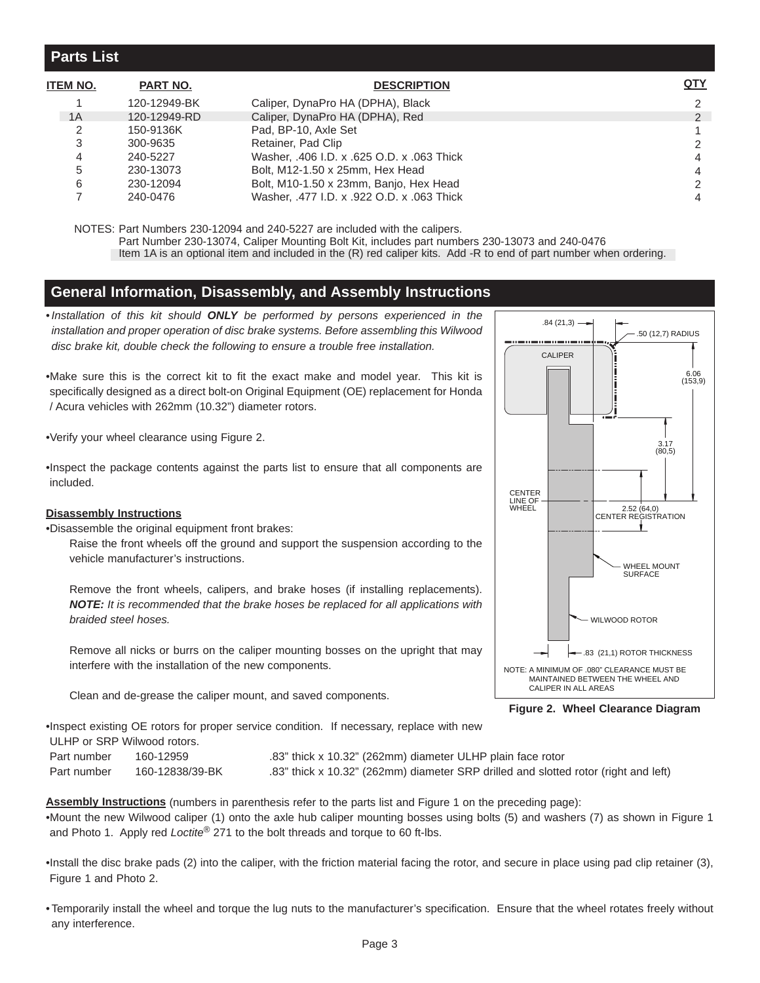## **Parts List**

| ITEM NO. | PART NO.     | <b>DESCRIPTION</b>                         | <u>QTY</u>    |
|----------|--------------|--------------------------------------------|---------------|
|          | 120-12949-BK | Caliper, DynaPro HA (DPHA), Black          | $\mathbf{2}$  |
| 1A       | 120-12949-RD | Caliper, DynaPro HA (DPHA), Red            | $\mathcal{P}$ |
|          | 150-9136K    | Pad, BP-10, Axle Set                       |               |
|          | 300-9635     | Retainer, Pad Clip                         | $\mathcal{P}$ |
| 4        | 240-5227     | Washer, .406 I.D. x .625 O.D. x .063 Thick | 4             |
| 5        | 230-13073    | Bolt, M12-1.50 x 25mm, Hex Head            | 4             |
| 6        | 230-12094    | Bolt, M10-1.50 x 23mm, Banjo, Hex Head     | $\mathcal{P}$ |
|          | 240-0476     | Washer, .477 I.D. x .922 O.D. x .063 Thick | 4             |

NOTES: Part Numbers 230-12094 and 240-5227 are included with the calipers.

Part Number 230-13074, Caliper Mounting Bolt Kit, includes part numbers 230-13073 and 240-0476

[Item 1A is an optional item and included in the \(R\) red caliper kits. Add -R to end of part number when ordering.](www.wilwood.com)

## **General Information, Disassembly, and Assembly Instructions**

•*Installation of this kit should ONLY be performed by persons experienced in the installation and proper operation of disc brake systems. Before assembling this Wilwood disc brake kit, double check the following to ensure a trouble free installation.*

•Make sure this is the correct kit to fit the exact make and model year. This kit is specifically designed as a direct bolt-on Original Equipment (OE) replacement for Honda / Acura vehicles with 262mm (10.32") diameter rotors.

•Verify your wheel clearance using Figure 2.

•Inspect the package contents against the parts list to ensure that all components are included.

#### **Disassembly Instructions**

•Disassemble the original equipment front brakes:

Raise the front wheels off the ground and support the suspension according to the vehicle manufacturer's instructions.

Remove the front wheels, calipers, and brake hoses (if installing replacements). *NOTE: It is recommended that the brake hoses be replaced for all applications with braided steel hoses.*

Remove all nicks or burrs on the caliper mounting bosses on the upright that may interfere with the installation of the new components.

Clean and de-grease the caliper mount, and saved components.



**Figure 2. Wheel Clearance Diagram**

•Inspect existing OE rotors for proper service condition. If necessary, replace with new

ULHP or SRP Wilwood rotors.

Part number 160-12959 .83" thick x 10.32" (262mm) diameter ULHP plain face rotor Part number 160-12838/39-BK .83" thick x 10.32" (262mm) diameter SRP drilled and slotted rotor (right and left)

**Assembly Instructions** (numbers in parenthesis refer to the parts list and Figure 1 on the preceding page): •Mount the new Wilwood caliper (1) onto the axle hub caliper mounting bosses using bolts (5) and washers (7) as shown in Figure 1 and Photo 1. Apply red *Loctite*® 271 to the bolt threads and torque to 60 ft-lbs.

•Install the disc brake pads (2) into the caliper, with the friction material facing the rotor, and secure in place using pad clip retainer (3), Figure 1 and Photo 2.

[• Temporarily install the wheel and torque the lug nuts to the manufacturer's specification. Ensure that the wheel rotates freely without](www.wilwood.com) any interference.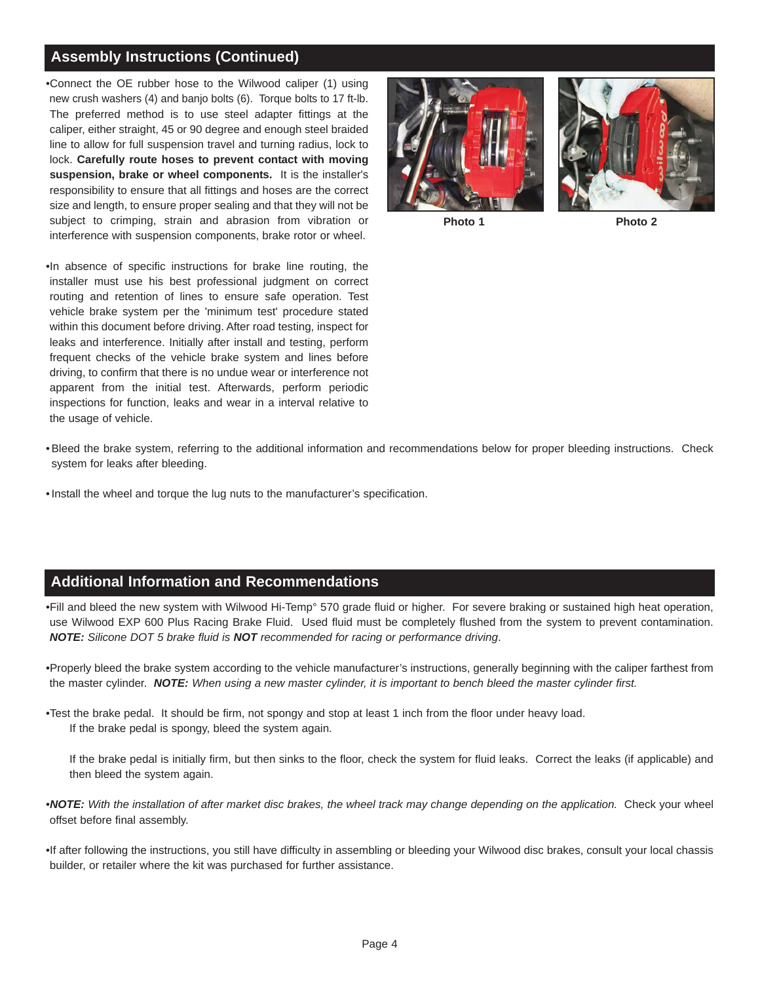# **Assembly Instructions (Continued)**

•Connect the OE rubber hose to the Wilwood caliper (1) using new crush washers (4) and banjo bolts (6). Torque bolts to 17 ft-lb. The preferred method is to use steel adapter fittings at the caliper, either straight, 45 or 90 degree and enough steel braided line to allow for full suspension travel and turning radius, lock to lock. **Carefully route hoses to prevent contact with moving suspension, brake or wheel components.** It is the installer's responsibility to ensure that all fittings and hoses are the correct size and length, to ensure proper sealing and that they will not be subject to crimping, strain and abrasion from vibration or interference with suspension components, brake rotor or wheel.



**Photo 1 Photo 2**

•In absence of specific instructions for brake line routing, the installer must use his best professional judgment on correct routing and retention of lines to ensure safe operation. Test vehicle brake system per the 'minimum test' procedure stated within this document before driving. After road testing, inspect for leaks and interference. Initially after install and testing, perform frequent checks of the vehicle brake system and lines before driving, to confirm that there is no undue wear or interference not apparent from the initial test. Afterwards, perform periodic inspections for function, leaks and wear in a interval relative to the usage of vehicle.

- [Bleed the brake system, referring to the additional information and recommendations below for proper bleeding instructions. Check](www.wilwood.com) system for leaks after bleeding.
- Install the wheel and torque the lug nuts to the manufacturer's specification.

### **Additional Information and Recommendations**

•Fill and bleed the new system with Wilwood Hi-Temp° 570 grade fluid or higher. For severe braking or sustained high heat operation, use Wilwood EXP 600 Plus Racing Brake Fluid. Used fluid must be completely flushed from the system to prevent contamination. *NOTE: Silicone DOT 5 brake fluid is NOT recommended for racing or performance driving*.

[•Properly bleed the brake system according to the vehicle manufacturer's instructions, generally beginning with the caliper farthest from](www.wilwood.com) the master cylinder. *NOTE: When using a new master cylinder, it is important to bench bleed the master cylinder first.*

•Test the brake pedal. It should be firm, not spongy and stop at least 1 inch from the floor under heavy load. If the brake pedal is spongy, bleed the system again.

If the brake pedal is initially firm, but then sinks to the floor, check the system for fluid leaks. Correct the leaks (if applicable) and then bleed the system again.

- •*NOTE: With the installation of after market disc brakes, the wheel track may change depending on the application.* Check your wheel offset before final assembly.
- •If after following the instructions, you still have difficulty in assembling or bleeding your Wilwood disc brakes, consult your local chassis builder, or retailer where the kit was purchased for further assistance.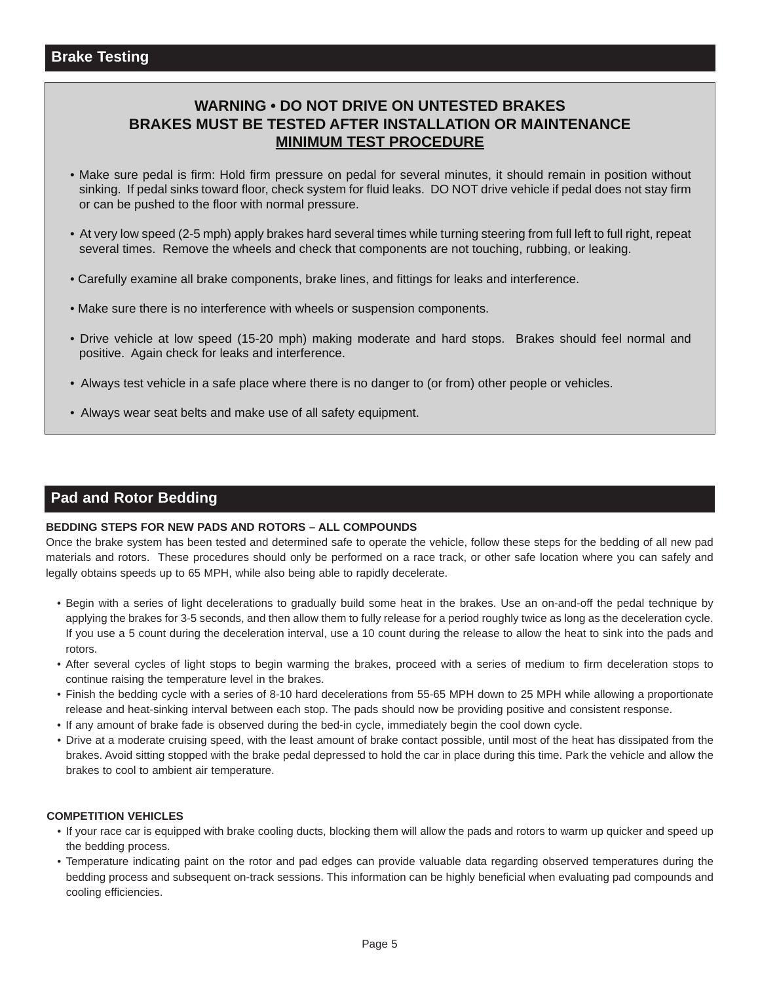# **WARNING • DO NOT DRIVE ON UNTESTED BRAKES BRAKES MUST BE TESTED AFTER INSTALLATION OR MAINTENANCE MINIMUM TEST PROCEDURE**

- Make sure pedal is firm: Hold firm pressure on pedal for several minutes, it should remain in position without sinking. If pedal sinks toward floor, check system for fluid leaks. DO NOT drive vehicle if pedal does not stay firm or can be pushed to the floor with normal pressure.
- [At very low speed \(2-5 mph\) apply brakes hard several times while turning steering from full left to full right, repeat](www.wilwood.com)  several times. Remove the wheels and check that components are not touching, rubbing, or leaking.
- Carefully examine all brake components, brake lines, and fittings for leaks and interference.
- Make sure there is no interference with wheels or suspension components.
- Drive vehicle at low speed (15-20 mph) making moderate and hard stops. Brakes should feel normal and positive. Again check for leaks and interference.
- Always test vehicle in a safe place where there is no danger to (or from) other people or vehicles.
- Always wear seat belts and make use of all safety equipment.

## **Pad and Rotor Bedding**

#### **BEDDING STEPS FOR NEW PADS AND ROTORS – ALL COMPOUNDS**

[Once the brake system has been tested and determined safe to operate the vehicle, follow these steps for the bedding of all new pad](www.wilwood.com) materials and rotors. These procedures should only be performed on a race track, or other safe location where you can safely and legally obtains speeds up to 65 MPH, while also being able to rapidly decelerate.

- Begin with a series of light decelerations to gradually build some heat in the brakes. Use an on-and-off the pedal technique by applying the brakes for 3-5 seconds, and then allow them to fully release for a period roughly twice as long as the deceleration cycle. If you use a 5 count during the deceleration interval, use a 10 count during the release to allow the heat to sink into the pads and rotors.
- After several cycles of light stops to begin warming the brakes, proceed with a series of medium to firm deceleration stops to continue raising the temperature level in the brakes.
- Finish the bedding cycle with a series of 8-10 hard decelerations from 55-65 MPH down to 25 MPH while allowing a proportionate release and heat-sinking interval between each stop. The pads should now be providing positive and consistent response.
- If any amount of brake fade is observed during the bed-in cycle, immediately begin the cool down cycle.
- Drive at a moderate cruising speed, with the least amount of brake contact possible, until most of the heat has dissipated from the brakes. Avoid sitting stopped with the brake pedal depressed to hold the car in place during this time. Park the vehicle and allow the brakes to cool to ambient air temperature.

#### **COMPETITION VEHICLES**

- If your race car is equipped with brake cooling ducts, blocking them will allow the pads and rotors to warm up quicker and speed up the bedding process.
- Temperature indicating paint on the rotor and pad edges can provide valuable data regarding observed temperatures during the bedding process and subsequent on-track sessions. This information can be highly beneficial when evaluating pad compounds and cooling efficiencies.